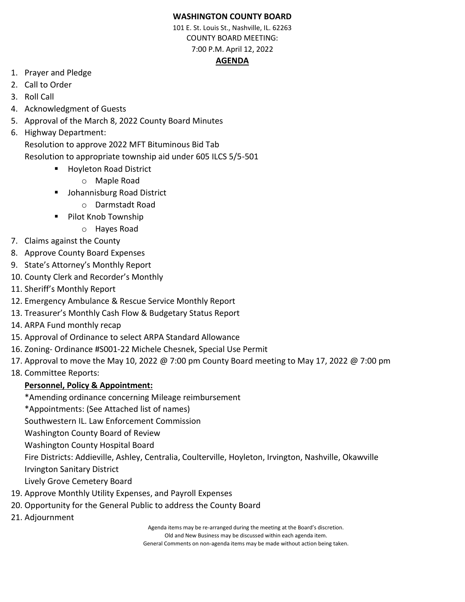## **WASHINGTON COUNTY BOARD**

101 E. St. Louis St., Nashville, IL. 62263 COUNTY BOARD MEETING: 7:00 P.M. April 12, 2022

## **AGENDA**

- 1. Prayer and Pledge
- 2. Call to Order
- 3. Roll Call
- 4. Acknowledgment of Guests
- 5. Approval of the March 8, 2022 County Board Minutes
- 6. Highway Department:
	- Resolution to approve 2022 MFT Bituminous Bid Tab Resolution to appropriate township aid under 605 ILCS 5/5-501
		- Hoyleton Road District
			- o Maple Road
		- Johannisburg Road District
			- o Darmstadt Road
		- Pilot Knob Township
			- o Hayes Road
- 7. Claims against the County
- 8. Approve County Board Expenses
- 9. State's Attorney's Monthly Report
- 10. County Clerk and Recorder's Monthly
- 11. Sheriff's Monthly Report
- 12. Emergency Ambulance & Rescue Service Monthly Report
- 13. Treasurer's Monthly Cash Flow & Budgetary Status Report
- 14. ARPA Fund monthly recap
- 15. Approval of Ordinance to select ARPA Standard Allowance
- 16. Zoning- Ordinance #S001-22 Michele Chesnek, Special Use Permit
- 17. Approval to move the May 10, 2022 @ 7:00 pm County Board meeting to May 17, 2022 @ 7:00 pm
- 18. Committee Reports:

## **Personnel, Policy & Appointment:**

- \*Amending ordinance concerning Mileage reimbursement
- \*Appointments: (See Attached list of names)

Southwestern IL. Law Enforcement Commission

Washington County Board of Review

Washington County Hospital Board

Fire Districts: Addieville, Ashley, Centralia, Coulterville, Hoyleton, Irvington, Nashville, Okawville Irvington Sanitary District

Lively Grove Cemetery Board

- 19. Approve Monthly Utility Expenses, and Payroll Expenses
- 20. Opportunity for the General Public to address the County Board
- 21. Adjournment

Agenda items may be re-arranged during the meeting at the Board's discretion. Old and New Business may be discussed within each agenda item. General Comments on non-agenda items may be made without action being taken.